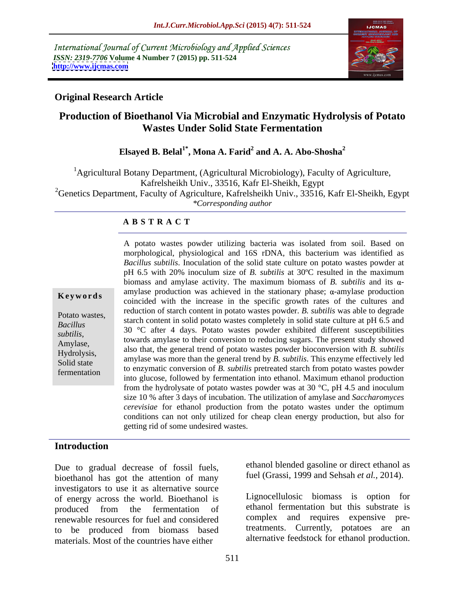International Journal of Current Microbiology and Applied Sciences *ISSN: 2319-7706* **Volume 4 Number 7 (2015) pp. 511-524 <http://www.ijcmas.com>**



# **Original Research Article**

# **Production of Bioethanol Via Microbial and Enzymatic Hydrolysis of Potato Wastes Under Solid State Fermentation**

## **Elsayed B. Belal1\* , Mona A. Farid<sup>2</sup> and A. A. Abo-Shosha<sup>2</sup>**

<sup>1</sup>Agricultural Botany Department, (Agricultural Microbiology), Faculty of Agriculture, Kafrelsheikh Univ., 33516, Kafr El-Sheikh, Egypt <sup>2</sup>Genetics Department, Faculty of Agriculture, Kafrelsheikh Univ., 33516, Kafr El-Sheikh, Egypt *\*Corresponding author*

## **A B S T R A C T**

fermentation

A potato wastes powder utilizing bacteria was isolated from soil. Based on morphological, physiological and 16S rDNA, this bacterium was identified as *Bacillus subtilis*. Inoculation of the solid state culture on potato wastes powder at pH 6.5 with 20% inoculum size of *B. subtilis* at 30ºC resulted in the maximum biomass and amylase activity. The maximum biomass of  $B$ , *subtilis* and its  $\alpha$ amylase production was achieved in the stationary phase;  $\alpha$ -amylase production **Keywords** any as production was achieved in the stationary phase, u-anity as production coincided with the increase in the specific growth rates of the cultures and reduction of starch content in potato wastes powder. *B. subtilis* was able to degrade Potato wastes,<br>Basillus starch content in solid potato wastes completely in solid state culture at pH 6.5 and 30 °C after 4 days. Potato wastes powder exhibited different susceptibilities *Bacillus*  subtilis,<br>towards amylase to their conversion to reducing sugars. The present study showed<br>also that the convert tend of exists mente are the conversion with  $P_1$ ,  $\lambda$ <sup>21</sup> also that, the general trend of potato wastes powder bioconversion with *B. subtilis* Hydrolysis,<br>
amylase was more than the general trend by *B. subtilis*. This enzyme effectively led<br>
Hydrolysis,<br>
amylase was more than the general trend by *B. subtilis*. This enzyme effectively led Solid state<br>to enzymatic conversion of *B*. *subtilis* pretreated starch from potato wastes powder<br>Solid state to enzymatic conversion of *B*. *subtilis* pretreated starch from potato wastes powder into glucose, followed by fermentation into ethanol. Maximum ethanol production from the hydrolysate of potato wastes powder was at 30  $^{\circ}$ C, pH 4.5 and inoculum size 10 % after 3 days of incubation. The utilization of amylase and *Saccharomyces cerevisiae* for ethanol production from the potato wastes under the optimum conditions can not only utilized for cheap clean energy production, but also for getting rid of some undesired wastes.

# **Introduction**

Due to gradual decrease of fossil fuels, bioethanol has got the attention of many investigators to use it as alternative source of energy across the world. Bioethanol is produced from the fermentation of ethanol termentation but this substrate is renewable resources for fuel and considered to be produced from biomass based materials. Most of the countries have either

Lignocellulosic biomass is option for

ethanol blended gasoline or direct ethanol as fuel (Grassi, 1999 and Sehsah *et al.,* 2014).

ethanol fermentation but this substrate is complex and requires expensive pretreatments. Currently, potatoes are an alternative feedstock for ethanol production.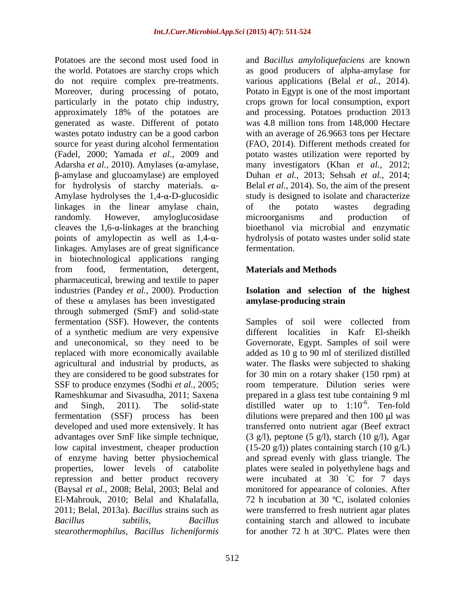the world. Potatoes are starchy crops which as good producers of alpha-amylase for do not require complex pre-treatments. various applications (Belal *et al.,* 2014). Moreover, during processing of potato, particularly in the potato chip industry, crops grown for local consumption, export approximately 18% of the potatoes are and processing. Potatoes production 2013 generated as waste. Different of potato was 4.8 million tons from 148,000 Hectare wastes potato industry can be a good carbon with an average of 26.9663 tons per Hectare source for yeast during alcohol fermentation (FAO, 2014). Different methods created for (Fadel, 2000; Yamada *et al.,* 2009 and potato wastes utilization were reported by Adarsha *et al.,* 2010). Amylases ( -amylase, -amylase and glucoamylase) are employed for hydrolysis of starchy materials.  $\alpha$ - Belal *et al.*, 2014). So, the aim of the present Amylase hydrolyses the  $1,4$ - $\alpha$ -D-glucosidic study is designed to isolate and characterize linkages in the linear amylase chain, of the potato wastes degrading randomly. However, amyloglucosidase microorganisms and production of cleaves the 1,6-a-linkages at the branching bioethanol via microbial and enzymatic points of amylopectin as well as  $1,4-\alpha$ - hydrolysis of potato wastes under solid state linkages. Amylases are of great significance fermentation. in biotechnological applications ranging from food, fermentation, detergent, Materials and Methods pharmaceutical, brewing and textile to paper industries (Pandey *et al.,* 2000). Production **Isolation and selection of the highest** of these  $\alpha$  amylases has been investigated **amylase-producing strain** through submerged (SmF) and solid-state fermentation (SSF). However, the contents Samples of soil were collected from of a synthetic medium are very expensive different localities in Kafr El-sheikh and uneconomical, so they need to be Governorate, Egypt. Samples of soil were replaced with more economically available added as 10 g to 90 ml of sterilized distilled agricultural and industrial by products, as water. The flasks were subjected to shaking they are considered to be good substrates for for 30 min on a rotary shaker (150 rpm) at SSF to produce enzymes (Sodhi *et al.*, 2005; com temperature. Dilution series were Rameshkumar and Sivasudha, 2011; Saxena prepared in a glass test tube containing 9 ml and Singh, 2011). The solid-state distilled water up to  $1:10^{-6}$ . Ten-fold fermentation (SSF) process has been dilutions were prepared and then 100 µl was developed and used more extensively. It has transferred onto nutrient agar (Beef extract advantages over SmF like simple technique, (3 g/l), peptone (5 g/l), starch (10 g/l), Agar low capital investment, cheaper production (15-20 g/l)) plates containing starch (10 g/L) of enzyme having better physiochemical and spread evenly with glass triangle. The properties, lower levels of catabolite plates were sealed in polyethylene bags and repression and better product recovery were incubated at 30 C for 7 days (Baysal *et al.,* 2008; Belal, 2003; Belal and monitored for appearance of colonies. After El-Mahrouk, 2010; Belal and Khalafalla, 72 h incubation at 30 ºC, isolated colonies 2011; Belal, 2013a). *Bacillus* strains such as were transferred to fresh nutrient agar plates *Bacillus subtilis*, *Bacillus*  containing starch and allowed to incubate *stearothermophilus*, *Bacillus licheniformis*

Potatoes are the second most used food in and *Bacillus amyloliquefaciens* are known Potato in Egypt is one of the most important many investigators (Khan *et al.,* 2012; Duhan *et al.,* 2013; Sehsah *et al.,* 2014; of the potato wastes degrading microorganisms and production of fermentation.

# **Materials and Methods**

# **amylase-producing strain**

 $-6$  T<sub>on</sub> fold . Ten-fold for another 72 h at 30ºC. Plates were then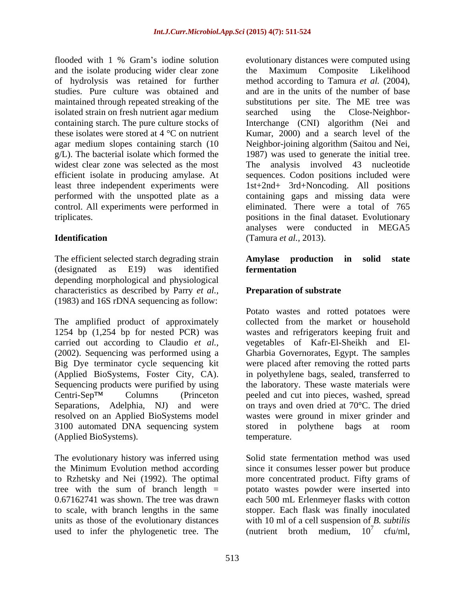flooded with 1 % Gram's iodine solution evolutionary distances were computed using and the isolate producing wider clear zone the Maximum Composite Likelihood maintained through repeated streaking of the isolated strain on fresh nutrient agar medium searched using the Close-Neighborwidest clear zone was selected as the most The analysis involved 43 nucleotide least three independent experiments were control. All experiments were performed in

The efficient selected starch degrading strain **Amylase production in solid state** (designated as E19) was identified **fermentation** depending morphological and physiological characteristics as described by Parry *et al.,* (1983) and 16S rDNA sequencing as follow:

The amplified product of approximately 1254 bp (1,254 bp for nested PCR) was wastes and refrigerators keeping fruit and carried out according to Claudio *et al.,* vegetables of Kafr-El-Sheikh and El- (2002). Sequencing was performed using a Gharbia Governorates, Egypt. The samples Big Dye terminator cycle sequencing kit were placed after removing the rotted parts (Applied BioSystems, Foster City, CA). in polyethylene bags, sealed, transferred to Sequencing products were purified by using the laboratory. These waste materials were  $Centri-Sep<sup>TM</sup>$  Columns (Princeton peeled and cut into pieces, washed, spread Separations, Adelphia, NJ) and were on trays and oven dried at 70°C. The dried resolved on an Applied BioSystems model 3100 automated DNA sequencing system stored in polythene bags at room (Applied BioSystems).

used to infer the phylogenetic tree. The

of hydrolysis was retained for further method according to Tamura *et al.* (2004), studies. Pure culture was obtained and and are in the units of the number of base containing starch. The pure culture stocks of Interchange (CNI) algorithm (Nei and these isolates were stored at 4 °C on nutrient Kumar, 2000) and a search level of the agar medium slopes containing starch (10 Neighbor-joining algorithm (Saitou and Nei, g/L). The bacterial isolate which formed the 1987) was used to generate the initial tree. efficient isolate in producing amylase. At sequences. Codon positions included were performed with the unspotted plate as a containing gaps and missing data were triplicates. positions in the final dataset. Evolutionary **Identification**  (Tamura *et al.,* 2013). the Maximum Composite Likelihood substitutions per site. The ME tree was searched using the Close-Neighbor-The analysis involved  $43$ 1st+2nd+ 3rd+Noncoding. All positions eliminated. There were a total of 765 analyses were conducted in MEGA5

# **Amylase production in solid state fermentation**

# **Preparation of substrate**

Potato wastes and rotted potatoes were collected from the market or household wastes were ground in mixer grinder and stored in polythene bags at room temperature.

The evolutionary history was inferred using Solid state fermentation method was used the Minimum Evolution method according since it consumes lesser power but produce to Rzhetsky and Nei (1992). The optimal more concentrated product. Fifty grams of tree with the sum of branch length = potato wastes powder were inserted into 0.67162741 was shown. The tree was drawn each 500 mL Erlenmeyer flasks with cotton to scale, with branch lengths in the same stopper. Each flask was finally inoculated units as those of the evolutionary distances with 10 ml of a cell suspension of *B. subtilis* (nutrient broth medium,  $10^7$  cfu/ml,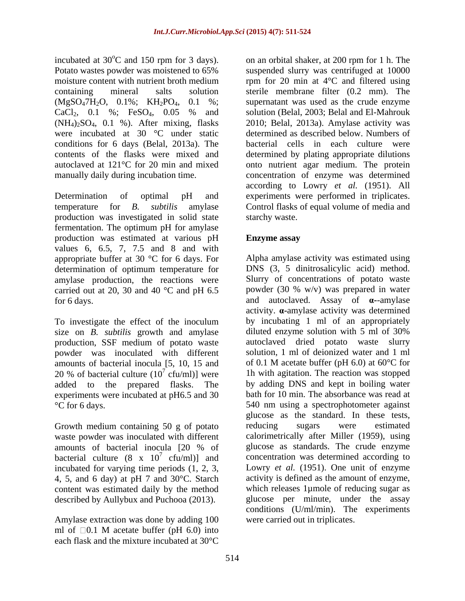were incubated at 30 °C under static conditions for 6 days (Belal, 2013a). The

production was investigated in solid state fermentation. The optimum pH for amylase production was estimated at various pH values 6, 6.5, 7, 7.5 and 8 and with appropriate buffer at 30 °C for 6 days. For determination of optimum temperature for amylase production, the reactions were carried out at 20, 30 and 40  $^{\circ}$ C and pH 6.5

size on *B. subtilis* growth and amylase production, SSF medium of potato waste powder was inoculated with different amounts of bacterial inocula [5,10, 15 and 20 % of bacterial culture  $(10^7 \text{ cftm})$  were experiments were incubated at pH6.5 and 30

waste powder was inoculated with different bacterial culture  $(8 \times 10^7 \text{ cftm})$  and incubated for varying time periods (1, 2, 3, 4, 5, and 6 day) at pH 7 and  $30^{\circ}$ C. Starch content was estimated daily by the method described by Aullybux and Puchooa (2013).

Amylase extraction was done by adding 100 ml of  $\Box 0.1$  M acetate buffer (pH 6.0) into each flask and the mixture incubated at 30°C

incubated at  $30^{\circ}$ C and 150 rpm for 3 days). on an orbital shaker, at 200 rpm for 1 h. The  $^{\circ}$ C and 150 rpm for 3 days). on an orbital shaker, at 200 rpm for 1 h. The Potato wastes powder was moistened to 65% suspended slurry was centrifuged at 10000 moisture content with nutrient broth medium  $\mu$  rpm for 20 min at 4 $\rm ^{o}C$  and filtered using containing mineral salts solution sterile membrane filter (0.2 mm). The  $(MgSO_47H_2O, 0.1\%; KH_2PO_4, 0.1\%; supernatant was used as the crude enzyme$  $CaCl<sub>2</sub>$ , 0.1 %; FeSO<sub>4</sub>, 0.05 % and solution (Belal, 2003; Belal and El-Mahrouk  $(NH_4)_2SO_4$ , 0.1 %). After mixing, flasks 2010; Belal, 2013a). Amylase activity was contents of the flasks were mixed and determined by plating appropriate dilutions autoclaved at 121°C for 20 min and mixed onto nutrient agar medium. The protein manually daily during incubation time. concentration of enzyme was determined Determination of optimal pH and experiments were performed in triplicates. temperature for *B. subtilis* amylase Control flasks of equal volume of media and solution (Belal, 2003; Belal and El-Mahrouk determined as described below. Numbers of bacterial cells in each culture were according to Lowry *et al.* (1951). All starchy waste.

# **Enzyme assay**

for 6 days. **and autoclaved.** Assay of **a**--amylase To investigate the effect of the inoculum by incubating 1 ml of an appropriately  $\int^7$  cfu/ml)] were 1h with agitation. The reaction was stopped added to the prepared flasks. The by adding DNS and kept in boiling water °C for 6 days. 540 nm using a spectrophotometer against Growth medium containing 50 g of potato reducing sugars were estimated amounts of bacterial inocula [20 % of  $\sigma$  cfu/ml)] and concentration was determined according to content was estimated daily by the method which releases 1µmole of reducing sugar as Alpha amylase activity was estimated using DNS (3, 5 dinitrosalicylic acid) method. Slurry of concentrations of potato waste powder (30 % w/v) was prepared in water activity.  $\alpha$ -amylase activity was determined by incubating 1 ml of an appropriately diluted enzyme solution with 5 ml of 30% autoclaved dried potato waste slurry solution, 1 ml of deionized water and 1 ml of 0.1 M acetate buffer (pH  $6.0$ ) at  $60^{\circ}$ C for bath for 10 min. The absorbance was read at glucose as the standard. In these tests, reducing sugars were estimated calorimetrically after Miller (1959), using glucose as standards. The crude enzyme Lowry *et al.* (1951). One unit of enzyme activity is defined as the amount of enzyme, glucose per minute, under the assay conditions (U/ml/min). The experiments were carried out in triplicates.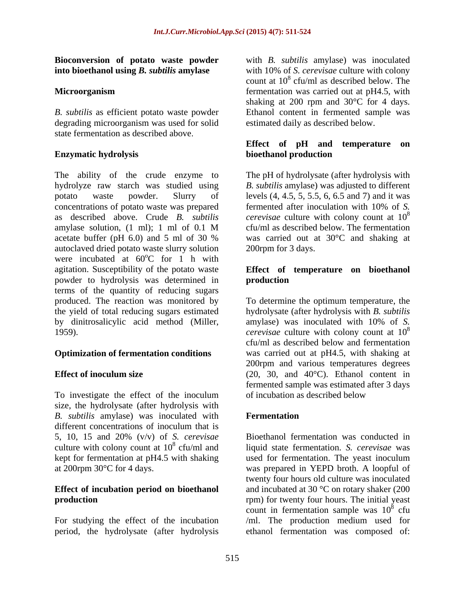# **Bioconversion of potato waste powder into bioethanol using** *B. subtilis* **amylase**

*B. subtilis* as efficient potato waste powder degrading microorganism was used for solid state fermentation as described above

The ability of the crude enzyme to The pH of hydrolysate (after hydrolysis with hydrolyze raw starch was studied using *B. subtilis* amylase) was adjusted to different potato waste powder. Slurry of levels (4, 4.5, 5, 5.5, 6, 6.5 and 7) and it was concentrations of potato waste was prepared fermented after inoculation with 10% of S. as described above. Crude *B. subtilis cerevisae* culture with colony count at 10 amylase solution, (1 ml); 1 ml of 0.1 M cfu/ml as described below. The fermentation acetate buffer (pH 6.0) and 5 ml of 30 % was carried out at 30°C and shaking at autoclaved dried potato waste slurry solution were incubated at  $60^{\circ}$ C for 1 h with  $\rm ^{o}C$  for 1 h with agitation. Susceptibility of the potato waste **Effect of temperature on bioethanol** powder to hydrolysis was determined in terms of the quantity of reducing sugars produced. The reaction was monitored by the yield of total reducing sugars estimated hydrolysate (after hydrolysis with *B. subtilis* by dinitrosalicylic acid method (Miller, amylase) was inoculated with 10% of S. 1959). *cerevisae* culture with colony count at 10

To investigate the effect of the inoculum of incubation as described below size, the hydrolysate (after hydrolysis with *B. subtilis* amylase) was inoculated with different concentrations of inoculum that is 5, 10, 15 and 20% (v/v) of *S. cerevisae*

period, the hydrolysate (after hydrolysis ethanol fermentation was composed of:

**Microorganism interval interval fermentation** was carried out at pH4.5, with with *B. subtilis* amylase) was inoculated with 10% of *S. cerevisae* culture with colony count at  $10^8$  cfu/ml as described below. The shaking at 200 rpm and 30°C for 4 days. Ethanol content in fermented sample was estimated daily as described below.

## **Enzymatic hydrolysis Effect of pH and temperature on bioethanol production**

fermented after inoculation with 10% of *S.*  8 cfu/ml as described below. The fermentation 200rpm for 3 days.

# **production**

**Optimization of fermentation conditions** was carried out at pH4.5, with shaking at **Effect of inoculum size** (20, 30, and 40<sup>o</sup>C). Ethanol content in To determine the optimum temperature, the amylase) was inoculated with 10% of *S.*  8 cfu/ml as described below and fermentation 200rpm and various temperatures degrees fermented sample was estimated after 3 days of incubation as described below

# **Fermentation**

culture with colony count at 10<sup>8</sup> cfu/ml and liquid state fermentation. *S. cerevisae* was kept for fermentation at pH4.5 with shaking used for fermentation. The yeast inoculum at 200rpm 30°C for 4 days. was prepared in YEPD broth. A loopful of **Effect of incubation period on bioethanol**  and incubated at 30 °C on rotary shaker (200 **production rpm**) for twenty four hours. The initial yeast For studying the effect of the incubation /ml. The production medium used for Bioethanol fermentation was conducted in twenty four hours old culture was inoculated count in fermentation sample was  $10^8$  cfu  $\frac{8}{2}$  of u cfu and the control of the control of the control of the control of the control of the control of the control of the control of the control of the control of the control of the control of the control of the control of the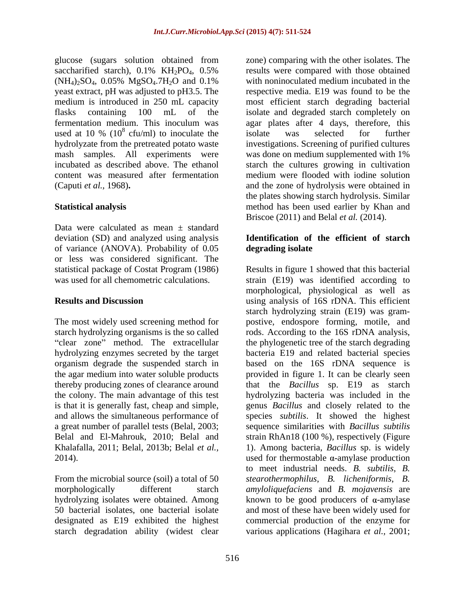used at 10 % ( $10^8$  cfu/ml) to inoculate the isolate was selected for further content was measured after fermentation

Data were calculated as mean  $\pm$  standard deviation (SD) and analyzed using analysis of variance (ANOVA). Probability of 0.05 or less was considered significant. The

designated as E19 exhibited the highest starch degradation ability (widest clear various applications (Hagihara *et al.,* 2001;

glucose (sugars solution obtained from zone) comparing with the other isolates. The saccharified starch),  $0.1\%$  KH<sub>2</sub>PO<sub>4</sub>,  $0.5\%$  results were compared with those obtained  $(NH_4)_2SO_4$ , 0.05%  $MgSO_4$ .7H<sub>2</sub>O and 0.1% with noninoculated medium incubated in the yeast extract, pH was adjusted to pH3.5. The respective media. E19 was found to be the medium is introduced in 250 mL capacity most efficient starch degrading bacterial flasks containing 100 mL of the isolate and degraded starch completely on fermentation medium. This inoculum was agar plates after 4 days, therefore,this cfu/ml) to inoculate the isolate was selected for further hydrolyzate from the pretreated potato waste investigations. Screening of purified cultures mash samples. All experiments were was done on medium supplemented with 1% incubated as described above. The ethanol starch the cultures growing in cultivation (Caputi *et al.,* 1968)**.** and the zone of hydrolysis were obtained in **Statistical analysis** method has been used earlier by Khan and results were compared with those obtained with noninoculated medium incubated in the isolate was selected for further medium were flooded with iodine solution the plates showing starch hydrolysis. Similar Briscoe (2011) and Belal *et al.* (2014).

# **Identification of the efficient of starch degrading isolate**

statistical package of Costat Program (1986) Results in figure 1 showed that this bacterial was used for all chemometric calculations. strain (E19) was identified according to **Results and Discussion using analysis of 16S rDNA. This efficient** The most widely used screening method for postive, endospore forming, motile, and starch hydrolyzing organisms is the so called rods. According to the 16S rDNA analysis, clear zone" method. The extracellular the phylogenetic tree of the starch degrading hydrolyzing enzymes secreted by the target bacteria E19 and related bacterial species organism degrade the suspended starch in based on the 16S rDNA sequence is the agar medium into water soluble products provided in figure 1. It can be clearly seen thereby producing zones of clearance around that the *Bacillus* sp. E19 as starch the colony. The main advantage of this test hydrolyzing bacteria was included in the is that it is generally fast, cheap and simple, genus *Bacillus*and closely related to the and allows the simultaneous performance of species *subtilis*. It showed the highest a great number of parallel tests (Belal, 2003; sequence similarities with *Bacillus subtilis* Belal and El-Mahrouk, 2010; Belal and strain RhAn18 (100 %), respectively (Figure Khalafalla, 2011; Belal, 2013b; Belal *et al.,* 1). Among bacteria, *Bacillus* sp. is widely 2014). used for thermostable  $\alpha$ -amylase production From the microbial source (soil) a total of 50 *stearothermophilus*, *B. licheniformis*, *B.*  morphologically different starch *amyloliquefaciens* and *B. mojavensis* are hydrolyzing isolates were obtained. Among  $\blacksquare$  known to be good producers of  $\alpha$ -amylase 50 bacterial isolates, one bacterial isolate and most of these have been widely used for morphological, physiological as well as starch hydrolyzing strain (E19) was gram to meet industrial needs. *B. subtilis*, *B.*  commercial production of the enzyme for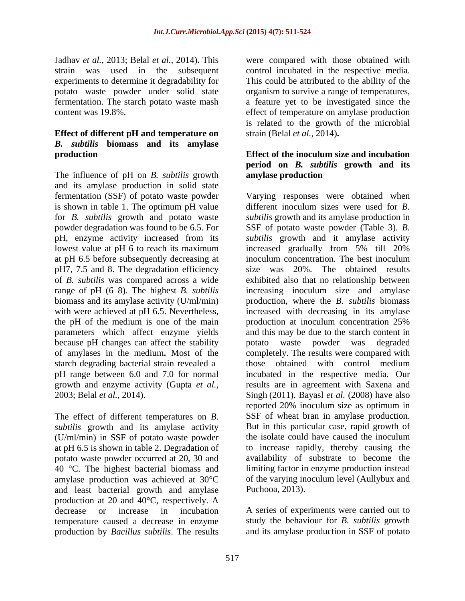Jadhav *et al.,* 2013; Belal *et al.,* 2014)**.** This experiments to determine it degradability for

# **Effect of different pH and temperature on**  *B. subtilis* **biomass and its amylase**

The influence of pH on *B. subtilis* growth and its amylase production in solid state is shown in table 1. The optimum pH value  $\cdot$  different inoculum sizes were used for B. at pH 6.5 before subsequently decreasing at inoculum concentration. The best inoculum pH7, 7.5 and 8. The degradation efficiency of *B*. *subtilis* was compared across a wide biomass and its amylase activity (U/ml/min) the pH of the medium is one of the main production at inoculum concentration 25%

The effect of different temperatures on *B. subtilis* growth and its amylase activity But in this particular case, rapid growth of (U/ml/min) in SSF of potato waste powder the isolate could have caused the inoculum (U/ml/min) in SSF of potato waste powder at pH 6.5 is shown in table 2. Degradation of potato waste powder occurred at 20, 30 and 40 °C. The highest bacterial biomass and amylase production was achieved at 30°C and least bacterial growth and amylase production at 20 and 40°C, respectively. A decrease or increase in incubation A series of experiments were carried out to temperature caused a decrease in enzyme production by *Bacillus subtilis*. The results

strain was used in the subsequent controlincubated in the respective media. potato waste powder under solid state organism to survive a range of temperatures, fermentation. The starch potato waste mash a feature yet to be investigated since the content was 19.8%. effect of temperature on amylase production were compared with those obtained with This could be attributed to the ability of the is related to the growth of the microbial strain (Belal *et al.,* 2014)**.**

# **production Effect of the inoculum size and incubation period on** *B. subtilis* **growth and its amylase production**

fermentation (SSF) of potato waste powder Varying responses were obtained when for *B. subtilis* growth and potato waste *subtilis* growth and its amylase production in powder degradation was found to be 6.5. For SSF of potato waste powder (Table 3). *B.*  pH, enzyme activity increased from its *subtilis* growth and it amylase activity lowest value at pH 6 to reach its maximum increased gradually from 5% till 20% of *B. subtilis* was compared across a wide exhibited also that no relationship between range of pH (6–8). The highest *B. subtilis* increasing inoculum size and amylase with were achieved at pH 6.5. Nevertheless, increased with decreasing in its amylase parameters which affect enzyme yields and this may be due to the starch content in because pH changes can affect the stability potato waste powder was degraded of amylases in the medium**.** Most of the completely. The results were compared with starch degrading bacterial strain revealed a those obtained with control medium pH range between 6.0 and 7.0 for normal incubated in the respective media. Our growth and enzyme activity (Gupta *et al.,* resultsare in agreement with Saxena and 2003; Belal *et al.,* 2014). Singh (2011). Bayasl *et al.* (2008) have also different inoculum sizes were used for *B.*  inoculum concentration. The best inoculum size was 20%. The obtained results production, where the *B. subtilis* biomass production at inoculum concentration 25% reported 20% inoculum size as optimum in SSF of wheat bran in amylase production. But in this particular case, rapid growth of the isolate could have caused the inoculum to increase rapidly, thereby causing the availability of substrate to become the limiting factor in enzyme production instead of the varying inoculum level (Aullybux and Puchooa, 2013).

> study the behaviour for *B. subtilis* growth and its amylase production in SSF of potato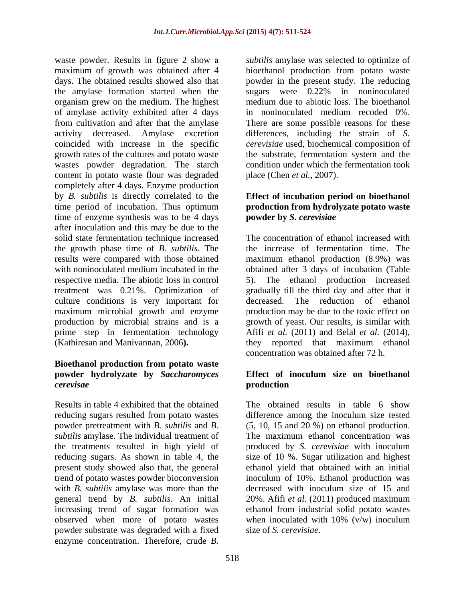waste powder. Results in figure 2 show a *subtilis* amylase was selected to optimize of maximum of growth was obtained after 4 bioethanol production from potato waste days. The obtained results showed also that powder in the present study. The reducing the amylase formation started when the sugars were 0.22% in noninoculated organism grew on the medium. The highest of amylase activity exhibited after 4 days in noninoculated medium recoded 0%. from cultivation and after that the amylase There are some possible reasons for these activity decreased. Amylase excretion differences, including the strain of *S.*  coincided with increase in the specific *cerevisiae* used, biochemical composition of growth rates of the cultures and potato waste wastes powder degradation. The starch content in potato waste flour was degraded completely after 4 days. Enzyme production by *B. subtilis* is directly correlated to the **Effect of incubation period on bioethanol** time period of incubation. Thus optimum **production from hydrolyzate potato waste**  time of enzyme synthesis was to be 4 days after inoculation and this may be due to the solid state fermentation technique increased the growth phase time of *B. subtilis*. The results were compared with those obtained maximum ethanol production (8.9%) was with noninoculated medium incubated in the obtained after 3 days of incubation (Table respective media. The abiotic loss in control 5). The ethanol production increased treatment was 0.21%. Optimization of gradually till the third day and after that it culture conditions is very important for decreased. maximum microbial growth and enzyme production by microbial strains and is a growth of yeast. Our results, is similar with prime step in fermentation technology Afifi *et al.* (2011) and Belal *et al.* (2014),

# **Bioethanol production from potato waste powder hydrolyzate by** *Saccharomyces*

Results in table 4 exhibited that the obtained powder pretreatment with *B. subtilis* and *B. subtilis* amylase. The individual treatment of The maximum ethanol concentration was powder substrate was degraded with a fixed enzyme concentration. Therefore, crude *B.* 

medium due to abiotic loss. The bioethanol the substrate, fermentation system and the condition under which the fermentation took place (Chen *et al.,* 2007).

# **powder by** *S. cerevisiae*

(Kathiresan and Manivannan, 2006**).** they reported that maximum ethanol The concentration of ethanol increased with the increase of fermentation time. The The reduction of ethanol production may be due to the toxic effect on concentration was obtained after 72 h.

## *cerevisae* **Effect of inoculum size on bioethanol production**

reducing sugars resulted from potato wastes difference among the inoculum size tested the treatments resulted in high yield of produced by *S. cerevisiae* with inoculum reducing sugars. As shown in table 4, the size of 10 %. Sugar utilization and highest present study showed also that, the general ethanol yield that obtained with an initial trend of potato wastes powder bioconversion inoculum of 10%. Ethanol production was with *B*. *subtilis* amylase was more than the decreased with inoculum size of 15 and general trend by *B. subtilis*. An initial 20%. Afifi *et al.* (2011) produced maximum increasing trend of sugar formation was ethanol from industrial solid potato wastes observed when more of potato wastes when inoculated with 10% (v/w) inoculum The obtained results in table 6 show (5, 10, 15 and 20 %) on ethanol production. The maximum ethanol concentration was size of *S. cerevisiae*.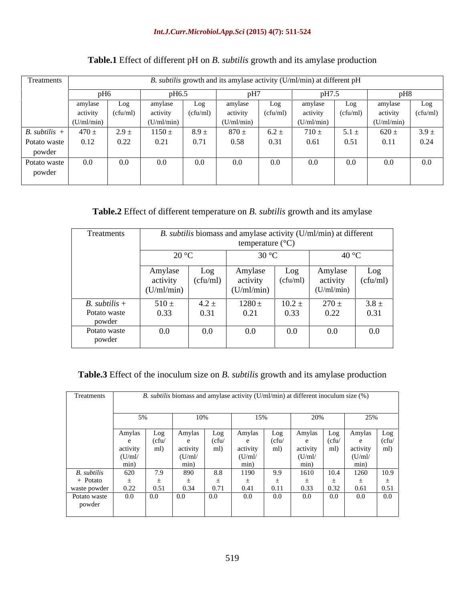| Treatments      | B. subtilis growth and its amylase activity (U/ml/min) at different pH |           |            |           |            |           |            |           |            |          |
|-----------------|------------------------------------------------------------------------|-----------|------------|-----------|------------|-----------|------------|-----------|------------|----------|
|                 |                                                                        | vH6.      |            |           |            |           |            |           |            |          |
|                 | amylase                                                                | Log       | amylase    | Log       | amylase    | Log       | amyiase    | Log       | amylase    | Log      |
|                 | activity                                                               | (cfu/ml)  | activity   | (cfu/ml)  | activity   | (cfu/ml)  | activity   | (cfu/ml)  | activity   | (cfu/ml) |
|                 | (U/ml/min)                                                             |           | (U/ml/min) |           | (U/ml/min) |           | (U/ml/min) |           | (U/ml/min) |          |
| $B.$ subtilis + | $470 \pm$                                                              | $2.9 \pm$ | $1150 \pm$ | $8.9 \pm$ | $870 \pm$  | $6.2 \pm$ | $710 \pm$  | $5.1 \pm$ | $620 \pm$  | $3.9 +$  |
| Potato waste    | 0.12                                                                   | 0.22      | 0.21       | 0.71      | 0.58       |           | 0.61       | 0.51      | 0.11       | 0.24     |
| powder          |                                                                        |           |            |           |            |           |            |           |            |          |
| Potato waste    | $0.0\,$                                                                | $0.0\,$   | 0.0        | $0.0\,$   | $0.0\,$    | $0.0\,$   | $0.0\,$    | $0.0\,$   | $0.0\,$    | $0.0\,$  |
| powder          |                                                                        |           |            |           |            |           |            |           |            |          |
|                 |                                                                        |           |            |           |            |           |            |           |            |          |

# **Table.1** Effect of different pH on *B. subtilis* growth and its amylase production

# **Table.2** Effect of different temperature on *B. subtilis* growth and its amylase

| Treatments             | B. subtilis biomass and amylase activity (U/ml/min) at different<br>temperature $(^{\circ}C)$<br>40 °C<br>$\overline{\mathcal{Q}}$<br>$30^{\circ}$ C<br>∠∪ ≅ |                 |                                   |                 |                                   |                 |  |
|------------------------|--------------------------------------------------------------------------------------------------------------------------------------------------------------|-----------------|-----------------------------------|-----------------|-----------------------------------|-----------------|--|
|                        |                                                                                                                                                              |                 |                                   |                 |                                   |                 |  |
|                        | Amylase<br>activity<br>(U/ml/min)                                                                                                                            | Log<br>(cfu/ml) | Amylase<br>activity<br>(U/ml/min) | Log<br>(cfu/ml) | Amylase<br>activity<br>(U/ml/min) | Log<br>(cfu/ml) |  |
| $B.$ subtilis +        | $510 \pm$                                                                                                                                                    | $4.2 \pm$       | $1280 \pm$                        | $10.2 \pm$      | $270 \pm$                         | $3.8 \pm$       |  |
| Potato waste<br>powder | 0.33                                                                                                                                                         | 0.31            | 0.21                              | 0.33            | 0.22                              | 0.31            |  |
| Potato waste<br>powder | $0.0\,$                                                                                                                                                      | $0.0\,$         | $\Omega$                          | $0.0\,$         | 0.0                               | $0.0\,$         |  |

# **Table.3** Effect of the inoculum size on *B. subtilis* growth and its amylase production

| Treatments   |          |                          | B. subtilis biomass and amylase activity $(U/ml/min)$ at different inoculum size $(\%)$ |                 |                                             |                             |      |            |                       |
|--------------|----------|--------------------------|-----------------------------------------------------------------------------------------|-----------------|---------------------------------------------|-----------------------------|------|------------|-----------------------|
|              |          |                          | 10%                                                                                     |                 | $5\%$                                       |                             |      | 250%       |                       |
|              | Amylas   | LO <sub>2</sub>          | Amvias                                                                                  | LO <sub>2</sub> | – Amvlas                                    | $\sim$ Amylas $\sim$<br>Log |      | Log Amylas |                       |
|              |          | t CT L                   |                                                                                         |                 | (cfu                                        |                             | сни  |            |                       |
|              | activity |                          | activity                                                                                | ml)             | activity   ml) activity   ml) activity   ml |                             |      |            |                       |
|              | (U/ml)   |                          | (U/ml)                                                                                  |                 | (U/ml)                                      | (U/ml/                      |      | (U/ml/     |                       |
|              | min)     |                          |                                                                                         |                 | min)                                        |                             |      | min        |                       |
| B. subtilis  | 620      | $\overline{\phantom{a}}$ | 890                                                                                     | 8.8             | 1190                                        | 1610<br>9.9                 | IV.4 | 1260       |                       |
| - Potato     |          |                          |                                                                                         |                 |                                             |                             |      |            |                       |
| waste powder | 0.22     |                          | 0.2                                                                                     | 0.71            | 0.41<br>0.11                                | 0.33                        | 0.22 | 0.61       | $\bigcap$ $\subset$ 1 |
| Potato waste | $0.0\,$  | 0.0                      | $\overline{0.0}$                                                                        | $\Omega$        | $0.0\,$                                     | 0.0<br>$0.0\,$              | 0.0  | 0.0        | 0.0                   |
| powder       |          |                          |                                                                                         |                 |                                             |                             |      |            |                       |
|              |          |                          |                                                                                         |                 |                                             |                             |      |            |                       |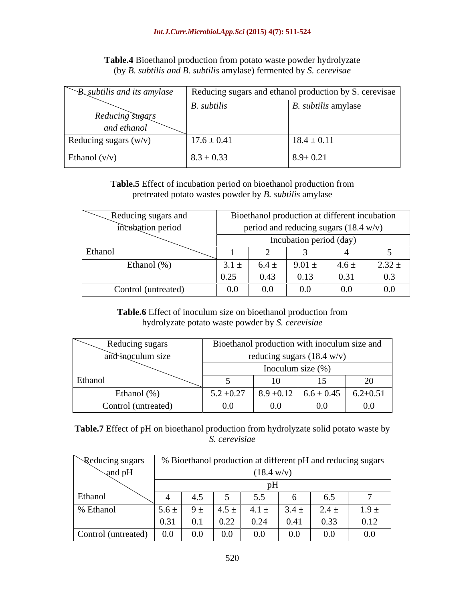| <b>Table.4</b> Bioethanol production from potato waste powder hydrolyzate                                                         |  |
|-----------------------------------------------------------------------------------------------------------------------------------|--|
| $\mu$ , <i>subtilis</i> amylase) fermented by $\lambda$<br>'. cerevisae<br>subti<br>( hv<br>$\sim$ 110 $\sigma$ 111.<br>. D. CC/C |  |

| $\mathcal{B}_{\mathcal{A}}$ subtilis and its amylase |                 | Reducing sugars and ethanol production by S. cerevisae |
|------------------------------------------------------|-----------------|--------------------------------------------------------|
|                                                      | B. subtilis     | <i>B. subtilis</i> amylase                             |
| Reducing sugars<br>and ethanol                       |                 |                                                        |
| Reducing sugars (w/v)                                | $17.6 \pm 0.41$ | $18.4 \pm 0.11$                                        |
| Ethanol $(v/v)$                                      | $8.3 \pm 0.33$  | $8.9 \pm 0.21$                                         |

**Table.5** Effect of incubation period on bioethanol production from pretreated potato wastes powder by *B. subtilis* amylase

| Reducing sugars and | Bioethanol production at different incubation |                               |            |                           |            |  |  |  |
|---------------------|-----------------------------------------------|-------------------------------|------------|---------------------------|------------|--|--|--|
| incubation period   | period and reducing sugars (18.4 w/v)         |                               |            |                           |            |  |  |  |
|                     | Incubation period (day)                       |                               |            |                           |            |  |  |  |
| Ethanol             |                                               |                               |            |                           |            |  |  |  |
| Ethanol (%)         | $3.1 \pm$                                     | $6.4 \pm$                     | $9.01 \pm$ | $4.6 \pm$                 | $2.32 \pm$ |  |  |  |
|                     | $\sim$ $\sim$ $\sim$<br>U.Z.                  | 0.43                          | 0.13       | $\mathsf{U}.\mathsf{U}$ . | 0.3        |  |  |  |
| Control (untreated) |                                               | $\mathbf{v} \cdot \mathbf{v}$ | $0.0\,$    | 0.0                       | $0.0\,$    |  |  |  |

**Table.6** Effect of inoculum size on bioethanol production from hydrolyzate potato waste powder by *S. cerevisiae*

| Reducing sugars     | Bioethanol production with inoculum size and |                      |                                |                  |  |  |  |  |  |
|---------------------|----------------------------------------------|----------------------|--------------------------------|------------------|--|--|--|--|--|
| and inoculum size   | reducing sugars $(18.4 \text{ w/v})$         |                      |                                |                  |  |  |  |  |  |
|                     |                                              | Inoculum size $(\%)$ |                                |                  |  |  |  |  |  |
| Ethanol             |                                              | $\left( \right)$     |                                | $\Delta$ c<br>ZU |  |  |  |  |  |
| Ethanol $(\% )$     | $5.2 \pm 0.27$<br>. ، ۲۰                     |                      | $ 8.9 \pm 0.12  6.6 \pm 0.45 $ | $6.2 \pm 0.51$   |  |  |  |  |  |
| Control (untreated) | ΛΛ.<br>V.V                                   | $0.0\,$              | $0.0\,$                        | $0.0\,$          |  |  |  |  |  |

**Table.7** Effect of pH on bioethanol production from hydrolyzate solid potato waste by *S. cerevisiae*

| Reducing sugars     |           |                               |                   |                      |           |           | % Bioethanol production at different pH and reducing sugars |
|---------------------|-----------|-------------------------------|-------------------|----------------------|-----------|-----------|-------------------------------------------------------------|
| and pH              |           |                               |                   | $(18.4 \text{ w/v})$ |           |           |                                                             |
|                     |           |                               |                   |                      |           |           |                                                             |
| Ethanol             |           |                               |                   |                      |           | 0.5       |                                                             |
| % Ethanol           | $5.6 \pm$ |                               | $9 \pm 4.5 \pm 1$ | $4.1 \pm$            | $3.4 \pm$ | $2.4 \pm$ | $1.9 \pm$                                                   |
|                     | 0.31      | $\mathbf{v} \cdot \mathbf{r}$ | 0.22              | 0.24                 | 0.41      | 0.33      | 0.12                                                        |
| Control (untreated) | $0.0\,$   | $0.0\,$                       | $0.0\,$           | $0.0\,$              | 0.0       | $0.0\,$   | $0.0\,$                                                     |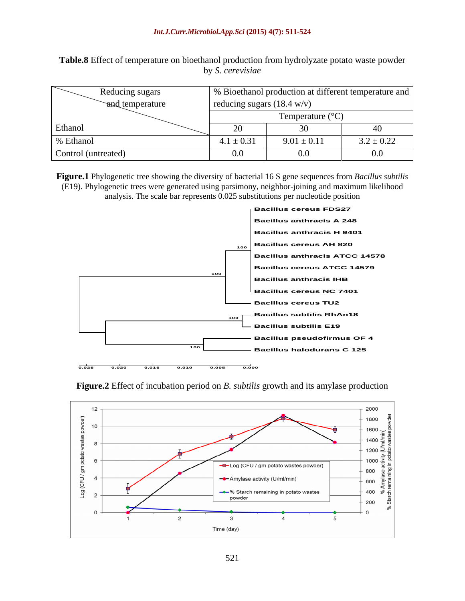**Table.8** Effect of temperature on bioethanol production from hydrolyzate potato waste powder by *S. cerevisiae*

|                     | Reducing sugars |                                      | % Bioethanol production at different temperature and |                |  |  |  |  |
|---------------------|-----------------|--------------------------------------|------------------------------------------------------|----------------|--|--|--|--|
|                     | and temperature | reducing sugars $(18.4 \text{ w/v})$ |                                                      |                |  |  |  |  |
|                     |                 |                                      | Temperature $(^{\circ}C)$                            |                |  |  |  |  |
| Ethanol             |                 | $\sim$<br>20                         |                                                      |                |  |  |  |  |
| % Ethanol           |                 | $4.1 \pm 0.31$                       | $9.01 \pm 0.11$                                      | $3.2 \pm 0.22$ |  |  |  |  |
| Control (untreated) |                 | 0.0                                  | $0.0\,$                                              | $0.0\,$        |  |  |  |  |

**Figure.1** Phylogenetic tree showing the diversity of bacterial 16 S gene sequences from *Bacillus subtilis*  (E19). Phylogenetic trees were generated using parsimony, neighbor-joining and maximum likelihood analysis. The scale bar represents 0.025 substitutions per nucleotide position





**Figure.2** Effect of incubation period on *B. subtilis* growth and its amylase production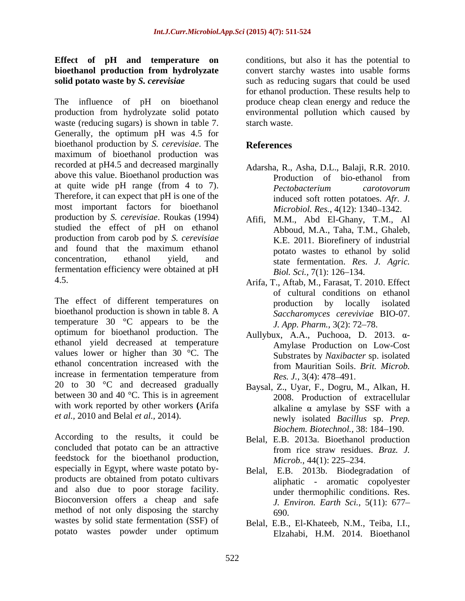# **Effect of pH and temperature on bioethanol production from hydrolyzate**

The influence of pH on bioethanol produce cheap clean energy and reduce the production from hydrolyzate solid potato environmental pollution which caused by waste (reducing sugars) is shown in table 7. starch waste. Generally, the optimum pH was 4.5 for bioethanol production by *S. cerevisiae*. The maximum of bioethanol production was recorded at pH4.5 and decreased marginally above this value. Bioethanol production was **Production** of bio-ethanol from at quite wide pH range (from 4 to 7). Pectobacterium carotovorum Therefore, it can expect that pH is one of the most important factors for bioethanol production by *S. cerevisiae*. Roukas (1994) studied the effect of pH on ethanol production from carob pod by *S. cerevisiae* and found that the maximum ethanol by potato wastes to ethanol by solid concentration, ethanol yield, and state fermentation. *Res. J. Agric.* fermentation efficiency were obtained at pH Biol. Sci., 7(1): 126–134.

The effect of different temperatures on bioethanol production is shown in table 8. A temperature 30 °C appears to be the optimum for bioethanol production. The ethanol yield decreased at temperature values lower or higher than 30 °C. The ethanol concentration increased with the from Mauritian Soils. Brit. Microb. increase in fermentation temperature from  $Res_{s} J_{s}$ ,  $3(4): 478-491$ . increase in fermentation temperature from<br>
20 to 30  $^{\circ}$ C and decreased gradually<br>
20 Raysal Z Hvar F Dogru between 30 and 40 °C. This is in agreement with work reported by other workers **(**Arifa *et al.,* 2010 and Belal *et al.,* 2014).

According to the results, it could be concluded that potato can be an attractive from rice straw residues. Braz. J. feedstock for the bioethanol production, *Microb.*, 44(1): 225–234. especially in Egypt, where waste potato byproducts are obtained from potato cultivars and also due to poor storage facility. Bioconversion offers a cheap and safe method of not only disposing the starchy  $690$ . wastes by solid state fermentation (SSF) of

**solid potato waste by** *S. cerevisiae* such as reducing sugars that could be used conditions, but also it has the potential to convert starchy wastes into usable forms for ethanol production. These results help to starch waste.

# **References**

- Adarsha, R., Asha, D.L., Balaji, R.R. 2010. Production of bio-ethanol from *Pectobacterium carotovorum* induced soft rotten potatoes. *Afr. J. Microbiol. Res.,* 4(12): 1340–1342.
- Afifi, M.M., Abd El-Ghany, T.M., Al Abboud, M.A., Taha, T.M., Ghaleb, K.E. 2011. Biorefinery of industrial potato wastes to ethanol by solid *Biol. Sci.,* 7(1): 126–134.
- 4.5. Arifa, T., Aftab, M., Farasat, T. 2010. Effect of cultural conditions on ethanol production by locally isolated *Saccharomyces cereviviae* BIO-07. *J. App. Pharm.,* 3(2): 72–78.
	- Aullybux, A.A., Puchooa, D. 2013.  $\alpha$ -Amylase Production on Low-Cost Substrates by *Naxibacter* sp. isolated from Mauritian Soils. *Brit. Microb. Res. J.,* 3(4): 478–491.
	- Baysal, Z., Uyar, F., Dogru, M., Alkan, H. 2008. Production of extracellular alkaline  $\alpha$  amylase by SSF with a newly isolated *Bacillus* sp. *Prep. Biochem. Biotechnol., 38: 184-190.*
	- Belal, E.B. 2013a. Bioethanol production from rice straw residues. *Braz. J. Microb.,* 44(1): 225–234.
	- Belal, E.B. 2013b. Biodegradation of aliphatic - aromatic copolyester under thermophilic conditions. Res. *J. Environ. Earth Sci.,* 5(11): 677 690.
- potato wastes powder under optimum Belal, E.B., El-Khateeb, N.M., Teiba, I.I., Elzahabi, H.M. 2014. Bioethanol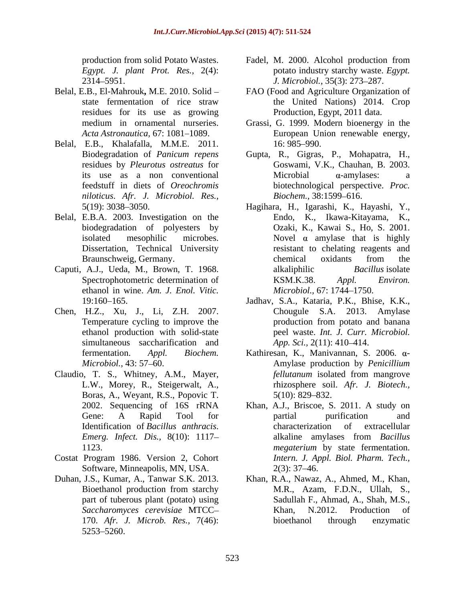*Egypt. J. plant Prot. Res.,* 2(4):

- residues for its use as growing
- Belal, E.B., Khalafalla, M.M.E. 2011. *niloticus*. *Afr. J. Microbiol. Res.,*
- Belal, E.B.A. 2003. Investigation on the
- ethanol in wine. *Am. J. Enol. Vitic.*
- Chen, H.Z., Xu, J., Li, Z.H. 2007. simultaneous saccharification and  $App. Sci., 2(11): 410-414.$
- Claudio, T. S., Whitney, A.M., Mayer, *fellutanum* isolated from mangrove L.W., Morey, R., Steigerwalt, A., *filutanum* isolated from mangrove changes by the control of the change of the change of the change control of the Boras, A., Weyant, R.S., Popovic T.
- Costat Program 1986. Version 2, Cohort Software, Minneapolis, MN, USA. 2(3): 37–46.
- 5253 5260.
- production from solid Potato Wastes. Fadel, M. 2000. Alcohol production from 2314 5951. *J. Microbiol.,* 35(3): 273 287. potato industry starchy waste. *Egypt.*
- Belal, E.B., El-Mahrouk**,** M.E. 2010. Solid FAO (Food and Agriculture Organization of state fermentation of rice straw the United Nations) 2014. Crop the United Nations) 2014. Crop Production, Egypt, 2011 data.
	- medium in ornamental nurseries. Grassi, G. 1999. Modern bioenergy in the Acta Astronautica, 67: 1081–1089. **European Union renewable energy**, 16: 985–990.
	- Biodegradation of *Panicum repens* Gupta, R., Gigras, P., Mohapatra, H., residues by *Pleurotus ostreatus* for Goswami, V.K., Chauhan, B. 2003. its use as a non conventional feedstuff in diets of *Oreochromis*  biotechnological perspective. *Proc.*   $Microbial$   $\alpha$ -amylases: a *Biochem.,* 38:1599–616.
- 5(19): 3038 3050. Hagihara, H., Igarashi, K., Hayashi, Y., biodegradation of polyesters by Ozaki, K., Kawai S., Ho, S. 2001. isolated mesophilic microbes. Novel  $\alpha$  amylase that is highly Dissertation, Technical University resistant to chelating reagents and Braunschweig, Germany. The chemical oxidents from the Caputi, A.J., Ueda, M., Brown, T. 1968. Spectrophotometric determination of KSM.K.38. Appl. Environ. Endo, K., Ikawa-Kitayama, K., chemical oxidants from the alkaliphilic *Bacillus* isolate KSM.K.38. *Appl. Environ. Microbiol.,* 67: 1744–1750.
	- 19:160 165. Jadhav, S.A., Kataria, P.K., Bhise, K.K., Temperature cycling to improve the production from potato and banana ethanol production with solid-state peel waste. *Int. J. Curr. Microbiol.* Chougule S.A. 2013. Amylase production from potato and banana *App. Sci.,* 2(11): 410–414.
	- fermentation. *Appl. Biochem*. Kathiresan, K., Manivannan, S. 2006. α-*Microbiol.,* 43: 57 60. Amylase production by *Penicillium*  L.W., Morey, R., Steigerwalt, A., rhizosphere soil. *Afr. J. Biotech., fellutanum* isolated from mangrove  $5(10): 829 - 832.$
	- 2002. Sequencing of 16S rRNA Khan, A.J., Briscoe, S. 2011. A study on Gene: A Rapid Tool for **partial** purification and Identification of *Bacillus anthracis*. *Emerg. Infect. Dis.,* 8(10): 1117 1123. *megaterium* by state fermentation. partial purification and characterization of extracellular alkaline amylases from *Bacillus Intern. J. Appl. Biol. Pharm. Tech.,*  $2(3)$ : 37–46.
- Duhan, J.S., Kumar, A., Tanwar S.K. 2013. Khan, R.A., Nawaz, A., Ahmed, M., Khan, Bioethanol production from starchy M.R., Azam, F.D.N., Ullah, S., part of tuberous plant (potato) using Sadullah F., Ahmad, A., Shah, M.S., *Saccharomyces cerevisiae* MTCC 170. *Afr. J. Microb. Res.,* 7(46): M.R., Azam, F.D.N., Ullah, S., Khan, N.2012. Production of bioethanol through enzymatic